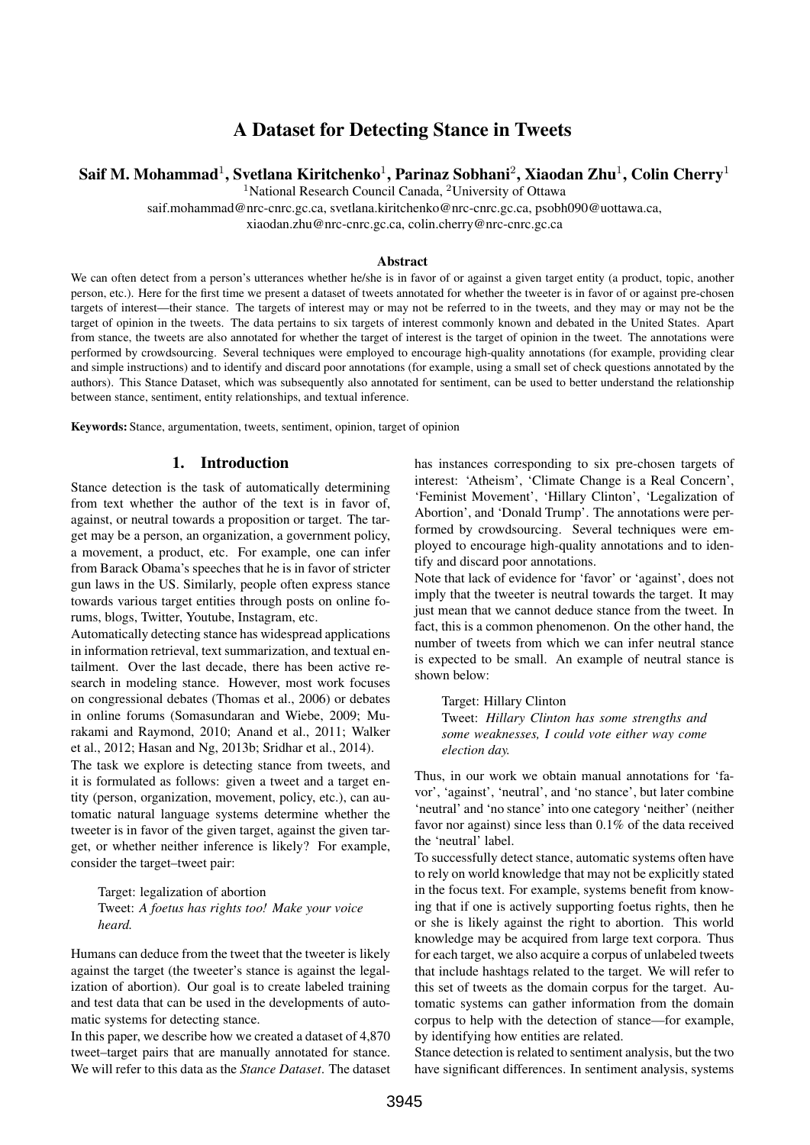# A Dataset for Detecting Stance in Tweets

# Saif M. Mohammad $^1$ , Svetlana Kiritchenko $^1$ , Parinaz Sobhani $^2$ , Xiaodan Zhu $^1$ , Colin Cherry $^1$

<sup>1</sup>National Research Council Canada, <sup>2</sup>University of Ottawa

saif.mohammad@nrc-cnrc.gc.ca, svetlana.kiritchenko@nrc-cnrc.gc.ca, psobh090@uottawa.ca,

xiaodan.zhu@nrc-cnrc.gc.ca, colin.cherry@nrc-cnrc.gc.ca

#### Abstract

We can often detect from a person's utterances whether he/she is in favor of or against a given target entity (a product, topic, another person, etc.). Here for the first time we present a dataset of tweets annotated for whether the tweeter is in favor of or against pre-chosen targets of interest—their stance. The targets of interest may or may not be referred to in the tweets, and they may or may not be the target of opinion in the tweets. The data pertains to six targets of interest commonly known and debated in the United States. Apart from stance, the tweets are also annotated for whether the target of interest is the target of opinion in the tweet. The annotations were performed by crowdsourcing. Several techniques were employed to encourage high-quality annotations (for example, providing clear and simple instructions) and to identify and discard poor annotations (for example, using a small set of check questions annotated by the authors). This Stance Dataset, which was subsequently also annotated for sentiment, can be used to better understand the relationship between stance, sentiment, entity relationships, and textual inference.

Keywords: Stance, argumentation, tweets, sentiment, opinion, target of opinion

### 1. Introduction

Stance detection is the task of automatically determining from text whether the author of the text is in favor of, against, or neutral towards a proposition or target. The target may be a person, an organization, a government policy, a movement, a product, etc. For example, one can infer from Barack Obama's speeches that he is in favor of stricter gun laws in the US. Similarly, people often express stance towards various target entities through posts on online forums, blogs, Twitter, Youtube, Instagram, etc.

Automatically detecting stance has widespread applications in information retrieval, text summarization, and textual entailment. Over the last decade, there has been active research in modeling stance. However, most work focuses on congressional debates (Thomas et al., 2006) or debates in online forums (Somasundaran and Wiebe, 2009; Murakami and Raymond, 2010; Anand et al., 2011; Walker et al., 2012; Hasan and Ng, 2013b; Sridhar et al., 2014).

The task we explore is detecting stance from tweets, and it is formulated as follows: given a tweet and a target entity (person, organization, movement, policy, etc.), can automatic natural language systems determine whether the tweeter is in favor of the given target, against the given target, or whether neither inference is likely? For example, consider the target–tweet pair:

Target: legalization of abortion Tweet: *A foetus has rights too! Make your voice heard.*

Humans can deduce from the tweet that the tweeter is likely against the target (the tweeter's stance is against the legalization of abortion). Our goal is to create labeled training and test data that can be used in the developments of automatic systems for detecting stance.

In this paper, we describe how we created a dataset of 4,870 tweet–target pairs that are manually annotated for stance. We will refer to this data as the *Stance Dataset*. The dataset has instances corresponding to six pre-chosen targets of interest: 'Atheism', 'Climate Change is a Real Concern', 'Feminist Movement', 'Hillary Clinton', 'Legalization of Abortion', and 'Donald Trump'. The annotations were performed by crowdsourcing. Several techniques were employed to encourage high-quality annotations and to identify and discard poor annotations.

Note that lack of evidence for 'favor' or 'against', does not imply that the tweeter is neutral towards the target. It may just mean that we cannot deduce stance from the tweet. In fact, this is a common phenomenon. On the other hand, the number of tweets from which we can infer neutral stance is expected to be small. An example of neutral stance is shown below:

Target: Hillary Clinton Tweet: *Hillary Clinton has some strengths and some weaknesses, I could vote either way come election day.*

Thus, in our work we obtain manual annotations for 'favor', 'against', 'neutral', and 'no stance', but later combine 'neutral' and 'no stance' into one category 'neither' (neither favor nor against) since less than 0.1% of the data received the 'neutral' label.

To successfully detect stance, automatic systems often have to rely on world knowledge that may not be explicitly stated in the focus text. For example, systems benefit from knowing that if one is actively supporting foetus rights, then he or she is likely against the right to abortion. This world knowledge may be acquired from large text corpora. Thus for each target, we also acquire a corpus of unlabeled tweets that include hashtags related to the target. We will refer to this set of tweets as the domain corpus for the target. Automatic systems can gather information from the domain corpus to help with the detection of stance—for example, by identifying how entities are related.

Stance detection is related to sentiment analysis, but the two have significant differences. In sentiment analysis, systems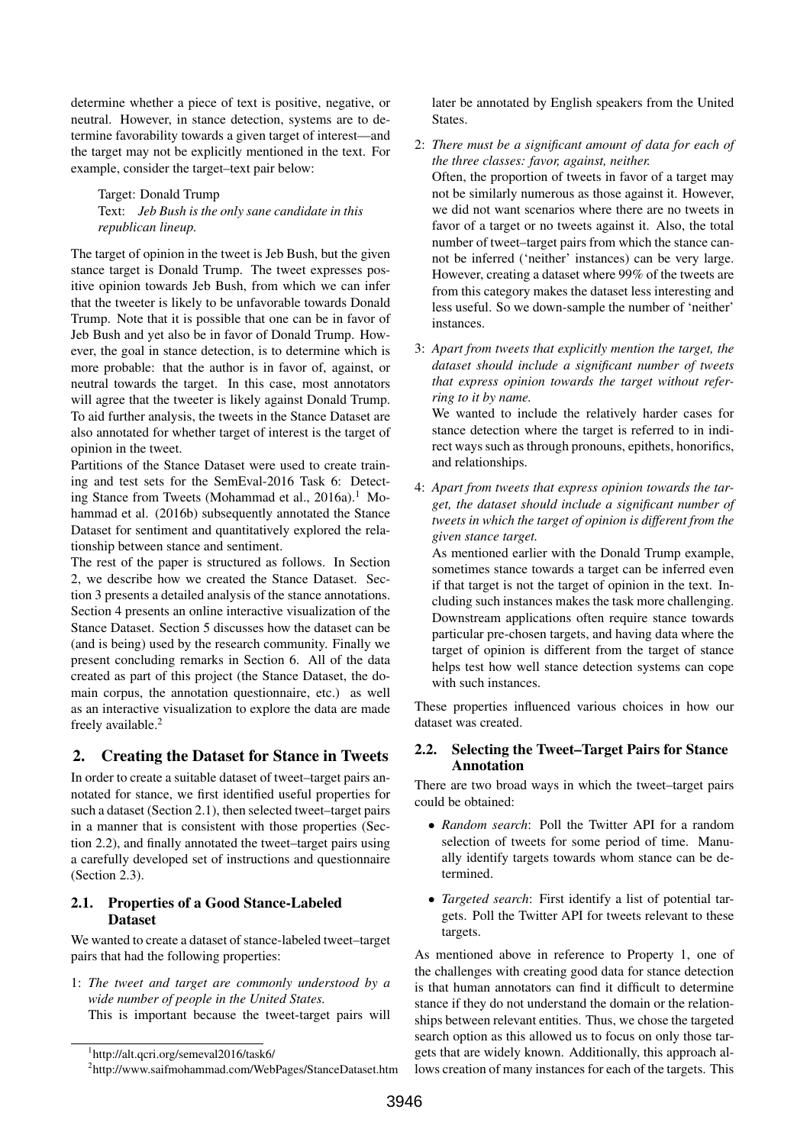determine whether a piece of text is positive, negative, or neutral. However, in stance detection, systems are to determine favorability towards a given target of interest—and the target may not be explicitly mentioned in the text. For example, consider the target–text pair below:

Target: Donald Trump Text: *Jeb Bush is the only sane candidate in this republican lineup.*

The target of opinion in the tweet is Jeb Bush, but the given stance target is Donald Trump. The tweet expresses positive opinion towards Jeb Bush, from which we can infer that the tweeter is likely to be unfavorable towards Donald Trump. Note that it is possible that one can be in favor of Jeb Bush and yet also be in favor of Donald Trump. However, the goal in stance detection, is to determine which is more probable: that the author is in favor of, against, or neutral towards the target. In this case, most annotators will agree that the tweeter is likely against Donald Trump. To aid further analysis, the tweets in the Stance Dataset are also annotated for whether target of interest is the target of opinion in the tweet.

Partitions of the Stance Dataset were used to create training and test sets for the SemEval-2016 Task 6: Detecting Stance from Tweets (Mohammad et al., 2016a).<sup>1</sup> Mohammad et al. (2016b) subsequently annotated the Stance Dataset for sentiment and quantitatively explored the relationship between stance and sentiment.

The rest of the paper is structured as follows. In Section 2, we describe how we created the Stance Dataset. Section 3 presents a detailed analysis of the stance annotations. Section 4 presents an online interactive visualization of the Stance Dataset. Section 5 discusses how the dataset can be (and is being) used by the research community. Finally we present concluding remarks in Section 6. All of the data created as part of this project (the Stance Dataset, the domain corpus, the annotation questionnaire, etc.) as well as an interactive visualization to explore the data are made freely available.<sup>2</sup>

# 2. Creating the Dataset for Stance in Tweets

In order to create a suitable dataset of tweet–target pairs annotated for stance, we first identified useful properties for such a dataset (Section 2.1), then selected tweet–target pairs in a manner that is consistent with those properties (Section 2.2), and finally annotated the tweet–target pairs using a carefully developed set of instructions and questionnaire (Section 2.3).

## 2.1. Properties of a Good Stance-Labeled Dataset

We wanted to create a dataset of stance-labeled tweet–target pairs that had the following properties:

1: *The tweet and target are commonly understood by a wide number of people in the United States.* This is important because the tweet-target pairs will later be annotated by English speakers from the United **States** 

- 2: *There must be a significant amount of data for each of the three classes: favor, against, neither.* Often, the proportion of tweets in favor of a target may not be similarly numerous as those against it. However, we did not want scenarios where there are no tweets in favor of a target or no tweets against it. Also, the total number of tweet–target pairs from which the stance cannot be inferred ('neither' instances) can be very large. However, creating a dataset where 99% of the tweets are from this category makes the dataset less interesting and less useful. So we down-sample the number of 'neither' instances.
- 3: *Apart from tweets that explicitly mention the target, the dataset should include a significant number of tweets that express opinion towards the target without referring to it by name.*

We wanted to include the relatively harder cases for stance detection where the target is referred to in indirect ways such as through pronouns, epithets, honorifics, and relationships.

4: *Apart from tweets that express opinion towards the target, the dataset should include a significant number of tweets in which the target of opinion is different from the given stance target.*

As mentioned earlier with the Donald Trump example, sometimes stance towards a target can be inferred even if that target is not the target of opinion in the text. Including such instances makes the task more challenging. Downstream applications often require stance towards particular pre-chosen targets, and having data where the target of opinion is different from the target of stance helps test how well stance detection systems can cope with such instances.

These properties influenced various choices in how our dataset was created.

# 2.2. Selecting the Tweet–Target Pairs for Stance Annotation

There are two broad ways in which the tweet–target pairs could be obtained:

- *Random search*: Poll the Twitter API for a random selection of tweets for some period of time. Manually identify targets towards whom stance can be determined.
- *Targeted search*: First identify a list of potential targets. Poll the Twitter API for tweets relevant to these targets.

As mentioned above in reference to Property 1, one of the challenges with creating good data for stance detection is that human annotators can find it difficult to determine stance if they do not understand the domain or the relationships between relevant entities. Thus, we chose the targeted search option as this allowed us to focus on only those targets that are widely known. Additionally, this approach allows creation of many instances for each of the targets. This

<sup>1</sup> http://alt.qcri.org/semeval2016/task6/

<sup>2</sup> http://www.saifmohammad.com/WebPages/StanceDataset.htm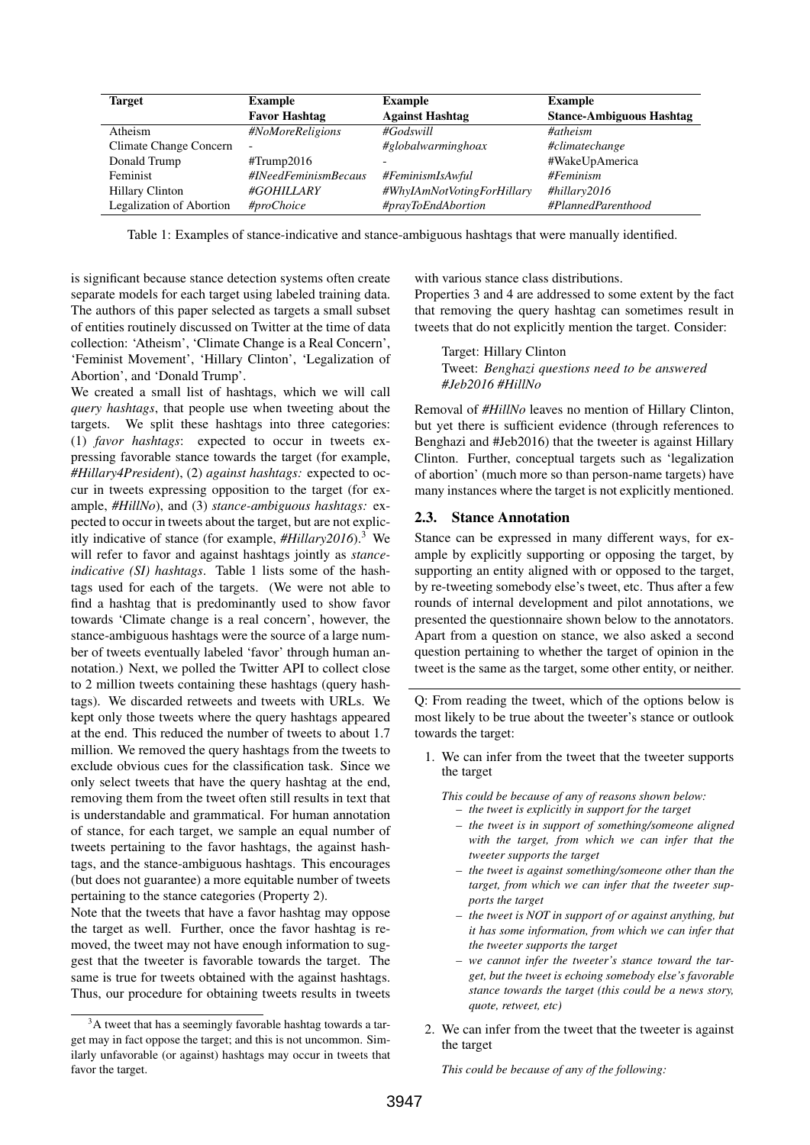| <b>Target</b>            | <b>Example</b>           | <b>Example</b>             | <b>Example</b>                  |
|--------------------------|--------------------------|----------------------------|---------------------------------|
|                          | <b>Favor Hashtag</b>     | <b>Against Hashtag</b>     | <b>Stance-Ambiguous Hashtag</b> |
| Atheism                  | #NoMoreReligions         | $\#Goldswill$              | #atheism                        |
| Climate Change Concern   | $\overline{\phantom{a}}$ | #globalwarminghoax         | #climatechange                  |
| Donald Trump             | $\text{\#Trump2016}$     |                            | #WakeUpAmerica                  |
| Feminist                 | #INeedFeminismBecaus     | #FeminismIsAwful           | #Feminism                       |
| <b>Hillary Clinton</b>   | #GOHILLARY               | #WhyIAmNotVotingForHillary | #hillary2016                    |
| Legalization of Abortion | #proChoice               | #prayToEndAbortion         | #PlannedParenthood              |

Table 1: Examples of stance-indicative and stance-ambiguous hashtags that were manually identified.

is significant because stance detection systems often create separate models for each target using labeled training data. The authors of this paper selected as targets a small subset of entities routinely discussed on Twitter at the time of data collection: 'Atheism', 'Climate Change is a Real Concern', 'Feminist Movement', 'Hillary Clinton', 'Legalization of Abortion', and 'Donald Trump'.

We created a small list of hashtags, which we will call *query hashtags*, that people use when tweeting about the targets. We split these hashtags into three categories: (1) *favor hashtags*: expected to occur in tweets expressing favorable stance towards the target (for example, *#Hillary4President*), (2) *against hashtags:* expected to occur in tweets expressing opposition to the target (for example, *#HillNo*), and (3) *stance-ambiguous hashtags:* expected to occur in tweets about the target, but are not explicitly indicative of stance (for example, *#Hillary2016*).<sup>3</sup> We will refer to favor and against hashtags jointly as *stanceindicative (SI) hashtags*. Table 1 lists some of the hashtags used for each of the targets. (We were not able to find a hashtag that is predominantly used to show favor towards 'Climate change is a real concern', however, the stance-ambiguous hashtags were the source of a large number of tweets eventually labeled 'favor' through human annotation.) Next, we polled the Twitter API to collect close to 2 million tweets containing these hashtags (query hashtags). We discarded retweets and tweets with URLs. We kept only those tweets where the query hashtags appeared at the end. This reduced the number of tweets to about 1.7 million. We removed the query hashtags from the tweets to exclude obvious cues for the classification task. Since we only select tweets that have the query hashtag at the end, removing them from the tweet often still results in text that is understandable and grammatical. For human annotation of stance, for each target, we sample an equal number of tweets pertaining to the favor hashtags, the against hashtags, and the stance-ambiguous hashtags. This encourages (but does not guarantee) a more equitable number of tweets pertaining to the stance categories (Property 2).

Note that the tweets that have a favor hashtag may oppose the target as well. Further, once the favor hashtag is removed, the tweet may not have enough information to suggest that the tweeter is favorable towards the target. The same is true for tweets obtained with the against hashtags. Thus, our procedure for obtaining tweets results in tweets

<sup>3</sup>A tweet that has a seemingly favorable hashtag towards a target may in fact oppose the target; and this is not uncommon. Similarly unfavorable (or against) hashtags may occur in tweets that favor the target.

with various stance class distributions.

Properties 3 and 4 are addressed to some extent by the fact that removing the query hashtag can sometimes result in tweets that do not explicitly mention the target. Consider:

Target: Hillary Clinton Tweet: *Benghazi questions need to be answered #Jeb2016 #HillNo*

Removal of *#HillNo* leaves no mention of Hillary Clinton, but yet there is sufficient evidence (through references to Benghazi and #Jeb2016) that the tweeter is against Hillary Clinton. Further, conceptual targets such as 'legalization of abortion' (much more so than person-name targets) have many instances where the target is not explicitly mentioned.

#### 2.3. Stance Annotation

Stance can be expressed in many different ways, for example by explicitly supporting or opposing the target, by supporting an entity aligned with or opposed to the target, by re-tweeting somebody else's tweet, etc. Thus after a few rounds of internal development and pilot annotations, we presented the questionnaire shown below to the annotators. Apart from a question on stance, we also asked a second question pertaining to whether the target of opinion in the tweet is the same as the target, some other entity, or neither.

Q: From reading the tweet, which of the options below is most likely to be true about the tweeter's stance or outlook towards the target:

1. We can infer from the tweet that the tweeter supports the target

*This could be because of any of reasons shown below: – the tweet is explicitly in support for the target*

- *– the tweet is in support of something/someone aligned*
- *with the target, from which we can infer that the tweeter supports the target*
- *– the tweet is against something/someone other than the target, from which we can infer that the tweeter supports the target*
- *– the tweet is NOT in support of or against anything, but it has some information, from which we can infer that the tweeter supports the target*
- *– we cannot infer the tweeter's stance toward the target, but the tweet is echoing somebody else's favorable stance towards the target (this could be a news story, quote, retweet, etc)*
- 2. We can infer from the tweet that the tweeter is against the target

*This could be because of any of the following:*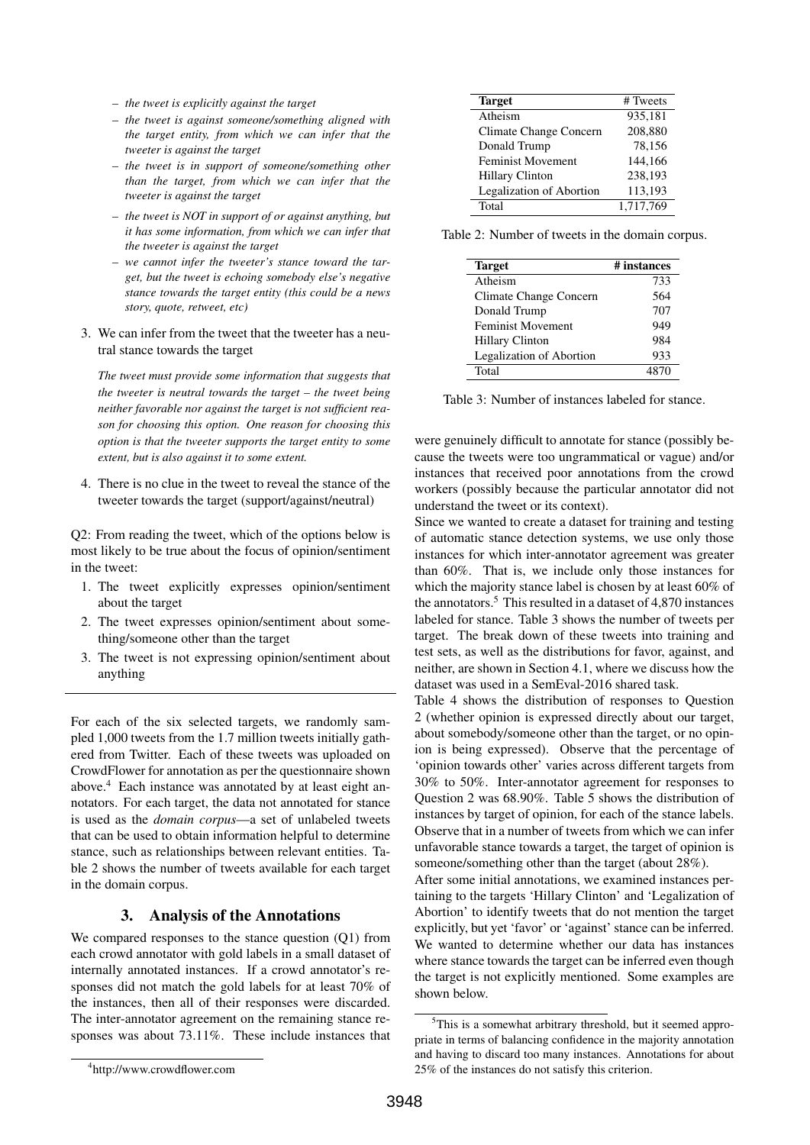- *– the tweet is explicitly against the target*
- *– the tweet is against someone/something aligned with the target entity, from which we can infer that the tweeter is against the target*
- *– the tweet is in support of someone/something other than the target, from which we can infer that the tweeter is against the target*
- *– the tweet is NOT in support of or against anything, but it has some information, from which we can infer that the tweeter is against the target*
- *– we cannot infer the tweeter's stance toward the target, but the tweet is echoing somebody else's negative stance towards the target entity (this could be a news story, quote, retweet, etc)*
- 3. We can infer from the tweet that the tweeter has a neutral stance towards the target

*The tweet must provide some information that suggests that the tweeter is neutral towards the target – the tweet being neither favorable nor against the target is not sufficient reason for choosing this option. One reason for choosing this option is that the tweeter supports the target entity to some extent, but is also against it to some extent.*

4. There is no clue in the tweet to reveal the stance of the tweeter towards the target (support/against/neutral)

Q2: From reading the tweet, which of the options below is most likely to be true about the focus of opinion/sentiment in the tweet:

- 1. The tweet explicitly expresses opinion/sentiment about the target
- 2. The tweet expresses opinion/sentiment about something/someone other than the target
- 3. The tweet is not expressing opinion/sentiment about anything

For each of the six selected targets, we randomly sampled 1,000 tweets from the 1.7 million tweets initially gathered from Twitter. Each of these tweets was uploaded on CrowdFlower for annotation as per the questionnaire shown above.<sup>4</sup> Each instance was annotated by at least eight annotators. For each target, the data not annotated for stance is used as the *domain corpus*—a set of unlabeled tweets that can be used to obtain information helpful to determine stance, such as relationships between relevant entities. Table 2 shows the number of tweets available for each target in the domain corpus.

### 3. Analysis of the Annotations

We compared responses to the stance question (Q1) from each crowd annotator with gold labels in a small dataset of internally annotated instances. If a crowd annotator's responses did not match the gold labels for at least 70% of the instances, then all of their responses were discarded. The inter-annotator agreement on the remaining stance responses was about 73.11%. These include instances that

| # Tweets  |
|-----------|
| 935,181   |
| 208,880   |
| 78,156    |
| 144,166   |
| 238,193   |
| 113,193   |
| 1,717,769 |
|           |

Table 2: Number of tweets in the domain corpus.

| <b>Target</b>                   | # instances |  |  |  |
|---------------------------------|-------------|--|--|--|
| Atheism                         | 733         |  |  |  |
| Climate Change Concern          | 564         |  |  |  |
| Donald Trump                    | 707         |  |  |  |
| <b>Feminist Movement</b>        | 949         |  |  |  |
| <b>Hillary Clinton</b>          | 984         |  |  |  |
| <b>Legalization of Abortion</b> | 933         |  |  |  |
| Total                           | 4870        |  |  |  |

Table 3: Number of instances labeled for stance.

were genuinely difficult to annotate for stance (possibly because the tweets were too ungrammatical or vague) and/or instances that received poor annotations from the crowd workers (possibly because the particular annotator did not understand the tweet or its context).

Since we wanted to create a dataset for training and testing of automatic stance detection systems, we use only those instances for which inter-annotator agreement was greater than 60%. That is, we include only those instances for which the majority stance label is chosen by at least 60% of the annotators.<sup>5</sup> This resulted in a dataset of  $4,870$  instances labeled for stance. Table 3 shows the number of tweets per target. The break down of these tweets into training and test sets, as well as the distributions for favor, against, and neither, are shown in Section 4.1, where we discuss how the dataset was used in a SemEval-2016 shared task.

Table 4 shows the distribution of responses to Question 2 (whether opinion is expressed directly about our target, about somebody/someone other than the target, or no opinion is being expressed). Observe that the percentage of 'opinion towards other' varies across different targets from 30% to 50%. Inter-annotator agreement for responses to Question 2 was 68.90%. Table 5 shows the distribution of instances by target of opinion, for each of the stance labels. Observe that in a number of tweets from which we can infer unfavorable stance towards a target, the target of opinion is someone/something other than the target (about 28%).

After some initial annotations, we examined instances pertaining to the targets 'Hillary Clinton' and 'Legalization of Abortion' to identify tweets that do not mention the target explicitly, but yet 'favor' or 'against' stance can be inferred. We wanted to determine whether our data has instances where stance towards the target can be inferred even though the target is not explicitly mentioned. Some examples are shown below.

<sup>&</sup>lt;sup>5</sup>This is a somewhat arbitrary threshold, but it seemed appropriate in terms of balancing confidence in the majority annotation and having to discard too many instances. Annotations for about 25% of the instances do not satisfy this criterion.

<sup>4</sup> http://www.crowdflower.com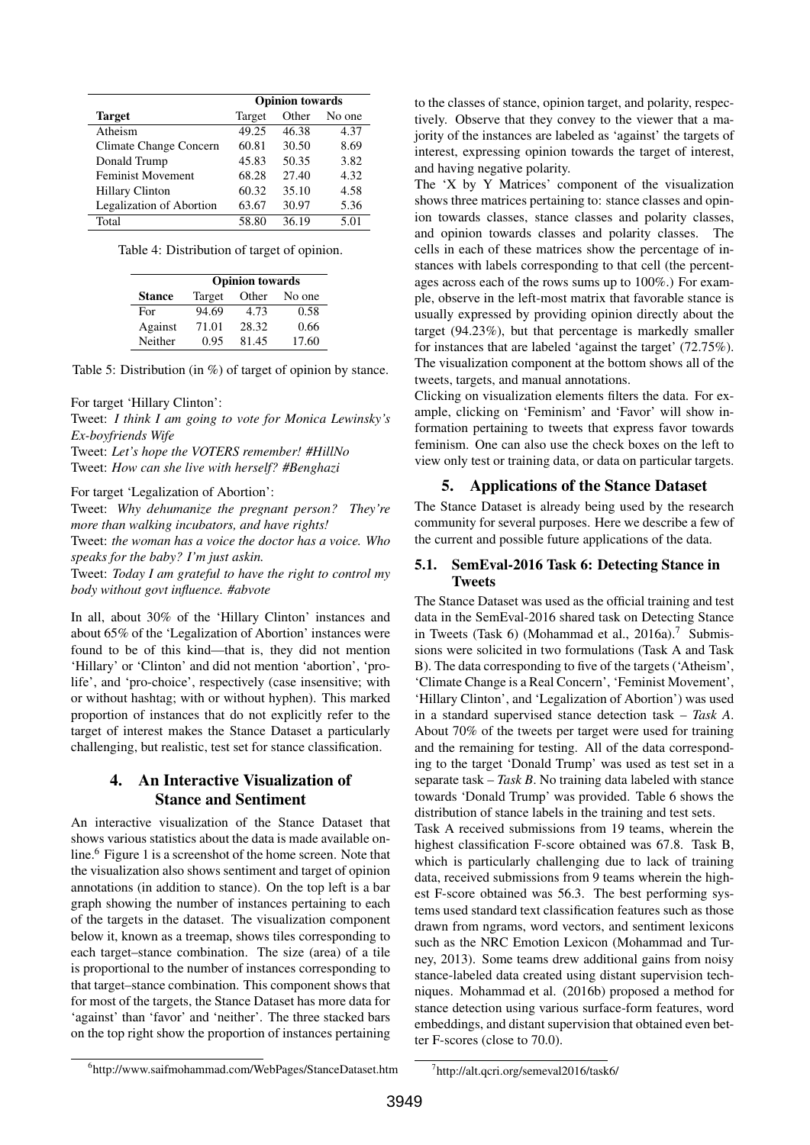|                                 | <b>Opinion</b> towards |       |        |  |  |
|---------------------------------|------------------------|-------|--------|--|--|
| <b>Target</b>                   | Target                 | Other | No one |  |  |
| Atheism                         | 49.25                  | 46.38 | 4.37   |  |  |
| Climate Change Concern          | 60.81                  | 30.50 | 8.69   |  |  |
| Donald Trump                    | 45.83                  | 50.35 | 3.82   |  |  |
| <b>Feminist Movement</b>        | 68.28                  | 27.40 | 4.32   |  |  |
| <b>Hillary Clinton</b>          | 60.32                  | 35.10 | 4.58   |  |  |
| <b>Legalization of Abortion</b> | 63.67                  | 30.97 | 5.36   |  |  |
| Total                           | 58.80                  | 36.19 | 5.01   |  |  |

Table 4: Distribution of target of opinion.

|               | <b>Opinion towards</b> |       |        |  |  |
|---------------|------------------------|-------|--------|--|--|
| <b>Stance</b> | Target                 | Other | No one |  |  |
| For           | 94.69                  | 4.73  | 0.58   |  |  |
| Against       | 71.01                  | 28.32 | 0.66   |  |  |
| Neither       | 0.95                   | 81.45 | 17.60  |  |  |

Table 5: Distribution (in %) of target of opinion by stance.

#### For target 'Hillary Clinton':

Tweet: *I think I am going to vote for Monica Lewinsky's Ex-boyfriends Wife* Tweet: *Let's hope the VOTERS remember! #HillNo* Tweet: *How can she live with herself? #Benghazi*

#### For target 'Legalization of Abortion':

Tweet: *Why dehumanize the pregnant person? They're more than walking incubators, and have rights!*

Tweet: *the woman has a voice the doctor has a voice. Who speaks for the baby? I'm just askin.*

Tweet: *Today I am grateful to have the right to control my body without govt influence. #abvote*

In all, about 30% of the 'Hillary Clinton' instances and about 65% of the 'Legalization of Abortion' instances were found to be of this kind—that is, they did not mention 'Hillary' or 'Clinton' and did not mention 'abortion', 'prolife', and 'pro-choice', respectively (case insensitive; with or without hashtag; with or without hyphen). This marked proportion of instances that do not explicitly refer to the target of interest makes the Stance Dataset a particularly challenging, but realistic, test set for stance classification.

# 4. An Interactive Visualization of Stance and Sentiment

An interactive visualization of the Stance Dataset that shows various statistics about the data is made available online.<sup>6</sup> Figure 1 is a screenshot of the home screen. Note that the visualization also shows sentiment and target of opinion annotations (in addition to stance). On the top left is a bar graph showing the number of instances pertaining to each of the targets in the dataset. The visualization component below it, known as a treemap, shows tiles corresponding to each target–stance combination. The size (area) of a tile is proportional to the number of instances corresponding to that target–stance combination. This component shows that for most of the targets, the Stance Dataset has more data for 'against' than 'favor' and 'neither'. The three stacked bars on the top right show the proportion of instances pertaining

to the classes of stance, opinion target, and polarity, respectively. Observe that they convey to the viewer that a majority of the instances are labeled as 'against' the targets of interest, expressing opinion towards the target of interest, and having negative polarity.

The 'X by Y Matrices' component of the visualization shows three matrices pertaining to: stance classes and opinion towards classes, stance classes and polarity classes, and opinion towards classes and polarity classes. The cells in each of these matrices show the percentage of instances with labels corresponding to that cell (the percentages across each of the rows sums up to 100%.) For example, observe in the left-most matrix that favorable stance is usually expressed by providing opinion directly about the target (94.23%), but that percentage is markedly smaller for instances that are labeled 'against the target' (72.75%). The visualization component at the bottom shows all of the tweets, targets, and manual annotations.

Clicking on visualization elements filters the data. For example, clicking on 'Feminism' and 'Favor' will show information pertaining to tweets that express favor towards feminism. One can also use the check boxes on the left to view only test or training data, or data on particular targets.

### 5. Applications of the Stance Dataset

The Stance Dataset is already being used by the research community for several purposes. Here we describe a few of the current and possible future applications of the data.

### 5.1. SemEval-2016 Task 6: Detecting Stance in Tweets

The Stance Dataset was used as the official training and test data in the SemEval-2016 shared task on Detecting Stance in Tweets (Task 6) (Mohammad et al.,  $2016a$ ).<sup>7</sup> Submissions were solicited in two formulations (Task A and Task B). The data corresponding to five of the targets ('Atheism', 'Climate Change is a Real Concern', 'Feminist Movement', 'Hillary Clinton', and 'Legalization of Abortion') was used in a standard supervised stance detection task – *Task A*. About 70% of the tweets per target were used for training and the remaining for testing. All of the data corresponding to the target 'Donald Trump' was used as test set in a separate task – *Task B*. No training data labeled with stance towards 'Donald Trump' was provided. Table 6 shows the distribution of stance labels in the training and test sets.

Task A received submissions from 19 teams, wherein the highest classification F-score obtained was 67.8. Task B, which is particularly challenging due to lack of training data, received submissions from 9 teams wherein the highest F-score obtained was 56.3. The best performing systems used standard text classification features such as those drawn from ngrams, word vectors, and sentiment lexicons such as the NRC Emotion Lexicon (Mohammad and Turney, 2013). Some teams drew additional gains from noisy stance-labeled data created using distant supervision techniques. Mohammad et al. (2016b) proposed a method for stance detection using various surface-form features, word embeddings, and distant supervision that obtained even better F-scores (close to 70.0).

<sup>6</sup> http://www.saifmohammad.com/WebPages/StanceDataset.htm

<sup>7</sup> http://alt.qcri.org/semeval2016/task6/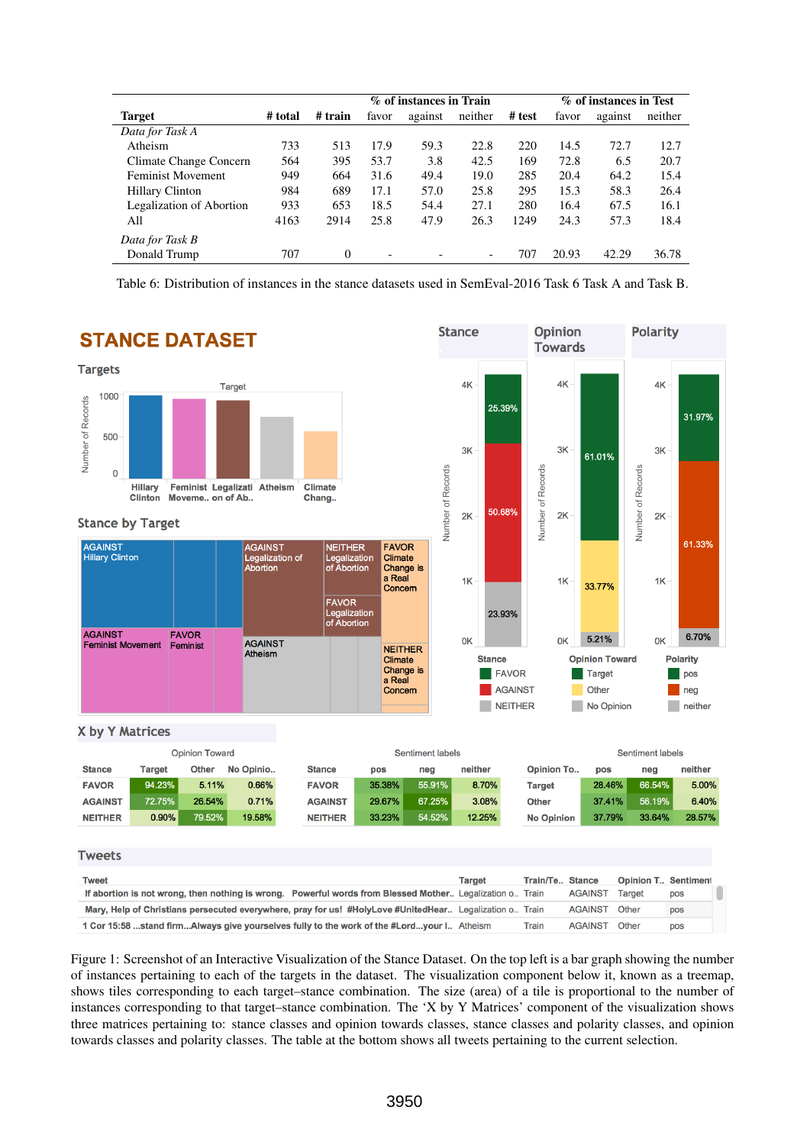|                          |         |          | % of instances in Train |         |                          | % of instances in Test |       |         |         |
|--------------------------|---------|----------|-------------------------|---------|--------------------------|------------------------|-------|---------|---------|
| <b>Target</b>            | # total | # train  | favor                   | against | neither                  | # test                 | favor | against | neither |
| Data for Task A          |         |          |                         |         |                          |                        |       |         |         |
| Atheism                  | 733     | 513      | 17.9                    | 59.3    | 22.8                     | 220                    | 14.5  | 72.7    | 12.7    |
| Climate Change Concern   | 564     | 395      | 53.7                    | 3.8     | 42.5                     | 169                    | 72.8  | 6.5     | 20.7    |
| <b>Feminist Movement</b> | 949     | 664      | 31.6                    | 49.4    | 19.0                     | 285                    | 20.4  | 64.2    | 15.4    |
| Hillary Clinton          | 984     | 689      | 17.1                    | 57.0    | 25.8                     | 295                    | 15.3  | 58.3    | 26.4    |
| Legalization of Abortion | 933     | 653      | 18.5                    | 54.4    | 27.1                     | 280                    | 16.4  | 67.5    | 16.1    |
| All                      | 4163    | 2914     | 25.8                    | 47.9    | 26.3                     | 1249                   | 24.3  | 57.3    | 18.4    |
| Data for Task B          |         |          |                         |         |                          |                        |       |         |         |
| Donald Trump             | 707     | $\theta$ | ۰                       |         | $\overline{\phantom{0}}$ | 707                    | 20.93 | 42.29   | 36.78   |

Table 6: Distribution of instances in the stance datasets used in SemEval-2016 Task 6 Task A and Task B.



Figure 1: Screenshot of an Interactive Visualization of the Stance Dataset. On the top left is a bar graph showing the number of instances pertaining to each of the targets in the dataset. The visualization component below it, known as a treemap, shows tiles corresponding to each target–stance combination. The size (area) of a tile is proportional to the number of instances corresponding to that target–stance combination. The 'X by Y Matrices' component of the visualization shows three matrices pertaining to: stance classes and opinion towards classes, stance classes and polarity classes, and opinion towards classes and polarity classes. The table at the bottom shows all tweets pertaining to the current selection.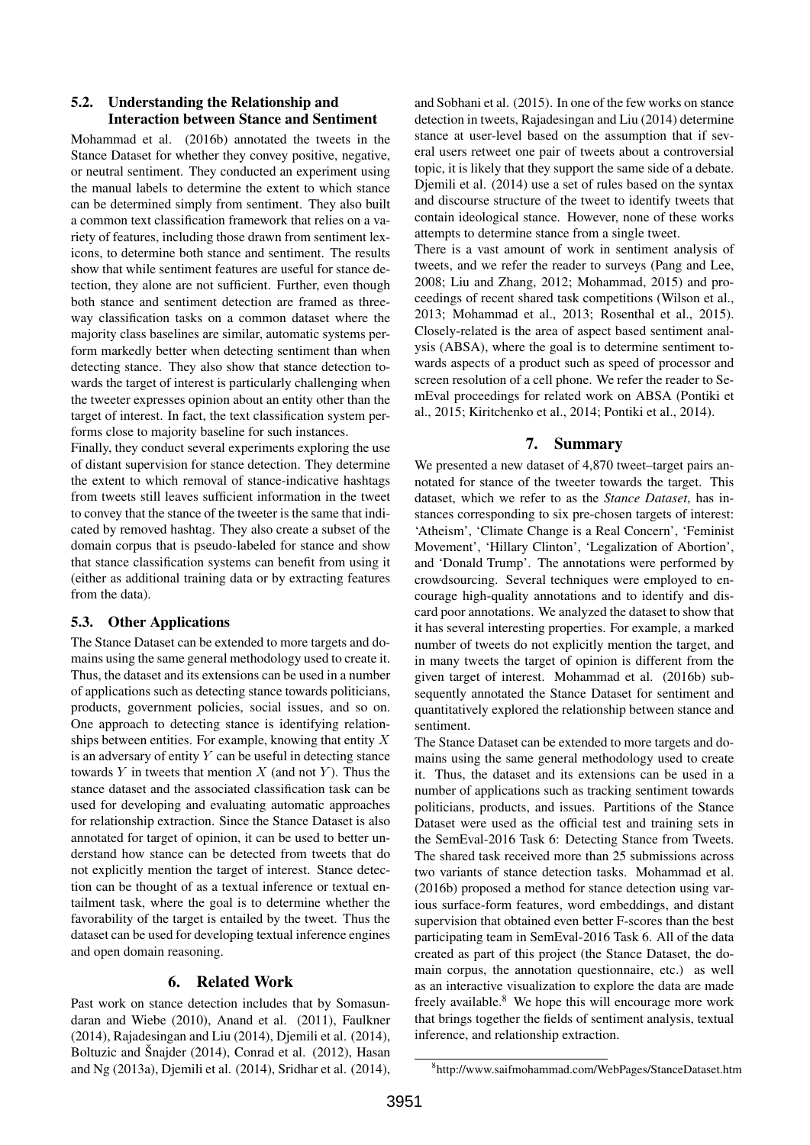### 5.2. Understanding the Relationship and Interaction between Stance and Sentiment

Mohammad et al. (2016b) annotated the tweets in the Stance Dataset for whether they convey positive, negative, or neutral sentiment. They conducted an experiment using the manual labels to determine the extent to which stance can be determined simply from sentiment. They also built a common text classification framework that relies on a variety of features, including those drawn from sentiment lexicons, to determine both stance and sentiment. The results show that while sentiment features are useful for stance detection, they alone are not sufficient. Further, even though both stance and sentiment detection are framed as threeway classification tasks on a common dataset where the majority class baselines are similar, automatic systems perform markedly better when detecting sentiment than when detecting stance. They also show that stance detection towards the target of interest is particularly challenging when the tweeter expresses opinion about an entity other than the target of interest. In fact, the text classification system performs close to majority baseline for such instances.

Finally, they conduct several experiments exploring the use of distant supervision for stance detection. They determine the extent to which removal of stance-indicative hashtags from tweets still leaves sufficient information in the tweet to convey that the stance of the tweeter is the same that indicated by removed hashtag. They also create a subset of the domain corpus that is pseudo-labeled for stance and show that stance classification systems can benefit from using it (either as additional training data or by extracting features from the data).

# 5.3. Other Applications

The Stance Dataset can be extended to more targets and domains using the same general methodology used to create it. Thus, the dataset and its extensions can be used in a number of applications such as detecting stance towards politicians, products, government policies, social issues, and so on. One approach to detecting stance is identifying relationships between entities. For example, knowing that entity  $X$ is an adversary of entity  $Y$  can be useful in detecting stance towards  $Y$  in tweets that mention  $X$  (and not  $Y$ ). Thus the stance dataset and the associated classification task can be used for developing and evaluating automatic approaches for relationship extraction. Since the Stance Dataset is also annotated for target of opinion, it can be used to better understand how stance can be detected from tweets that do not explicitly mention the target of interest. Stance detection can be thought of as a textual inference or textual entailment task, where the goal is to determine whether the favorability of the target is entailed by the tweet. Thus the dataset can be used for developing textual inference engines and open domain reasoning.

## 6. Related Work

Past work on stance detection includes that by Somasundaran and Wiebe (2010), Anand et al. (2011), Faulkner (2014), Rajadesingan and Liu (2014), Djemili et al. (2014), Boltuzic and Šnajder  $(2014)$ , Conrad et al.  $(2012)$ , Hasan and Ng (2013a), Djemili et al. (2014), Sridhar et al. (2014),

and Sobhani et al. (2015). In one of the few works on stance detection in tweets, Rajadesingan and Liu (2014) determine stance at user-level based on the assumption that if several users retweet one pair of tweets about a controversial topic, it is likely that they support the same side of a debate. Djemili et al. (2014) use a set of rules based on the syntax and discourse structure of the tweet to identify tweets that contain ideological stance. However, none of these works attempts to determine stance from a single tweet.

There is a vast amount of work in sentiment analysis of tweets, and we refer the reader to surveys (Pang and Lee, 2008; Liu and Zhang, 2012; Mohammad, 2015) and proceedings of recent shared task competitions (Wilson et al., 2013; Mohammad et al., 2013; Rosenthal et al., 2015). Closely-related is the area of aspect based sentiment analysis (ABSA), where the goal is to determine sentiment towards aspects of a product such as speed of processor and screen resolution of a cell phone. We refer the reader to SemEval proceedings for related work on ABSA (Pontiki et al., 2015; Kiritchenko et al., 2014; Pontiki et al., 2014).

## 7. Summary

We presented a new dataset of 4,870 tweet–target pairs annotated for stance of the tweeter towards the target. This dataset, which we refer to as the *Stance Dataset*, has instances corresponding to six pre-chosen targets of interest: 'Atheism', 'Climate Change is a Real Concern', 'Feminist Movement', 'Hillary Clinton', 'Legalization of Abortion', and 'Donald Trump'. The annotations were performed by crowdsourcing. Several techniques were employed to encourage high-quality annotations and to identify and discard poor annotations. We analyzed the dataset to show that it has several interesting properties. For example, a marked number of tweets do not explicitly mention the target, and in many tweets the target of opinion is different from the given target of interest. Mohammad et al. (2016b) subsequently annotated the Stance Dataset for sentiment and quantitatively explored the relationship between stance and sentiment.

The Stance Dataset can be extended to more targets and domains using the same general methodology used to create it. Thus, the dataset and its extensions can be used in a number of applications such as tracking sentiment towards politicians, products, and issues. Partitions of the Stance Dataset were used as the official test and training sets in the SemEval-2016 Task 6: Detecting Stance from Tweets. The shared task received more than 25 submissions across two variants of stance detection tasks. Mohammad et al. (2016b) proposed a method for stance detection using various surface-form features, word embeddings, and distant supervision that obtained even better F-scores than the best participating team in SemEval-2016 Task 6. All of the data created as part of this project (the Stance Dataset, the domain corpus, the annotation questionnaire, etc.) as well as an interactive visualization to explore the data are made freely available.<sup>8</sup> We hope this will encourage more work that brings together the fields of sentiment analysis, textual inference, and relationship extraction.

<sup>8</sup> http://www.saifmohammad.com/WebPages/StanceDataset.htm